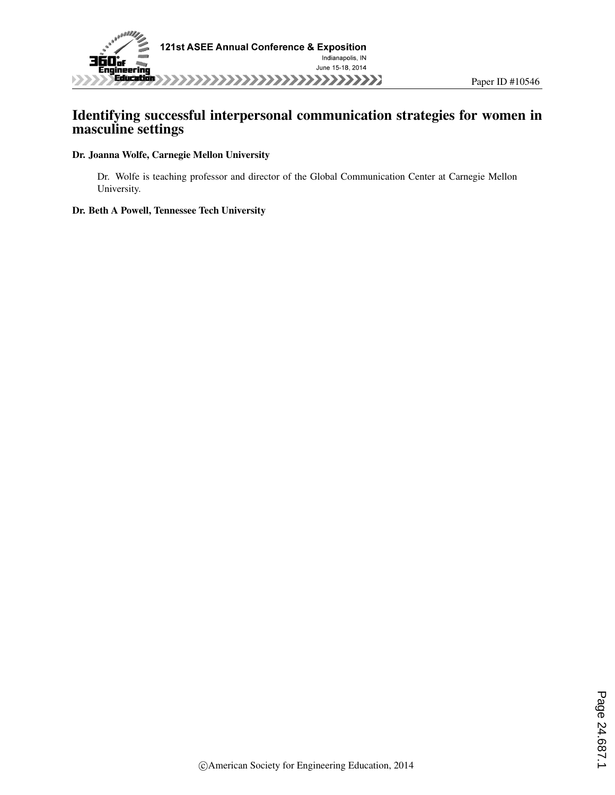

### Identifying successful interpersonal communication strategies for women in masculine settings

#### Dr. Joanna Wolfe, Carnegie Mellon University

Dr. Wolfe is teaching professor and director of the Global Communication Center at Carnegie Mellon University.

#### Dr. Beth A Powell, Tennessee Tech University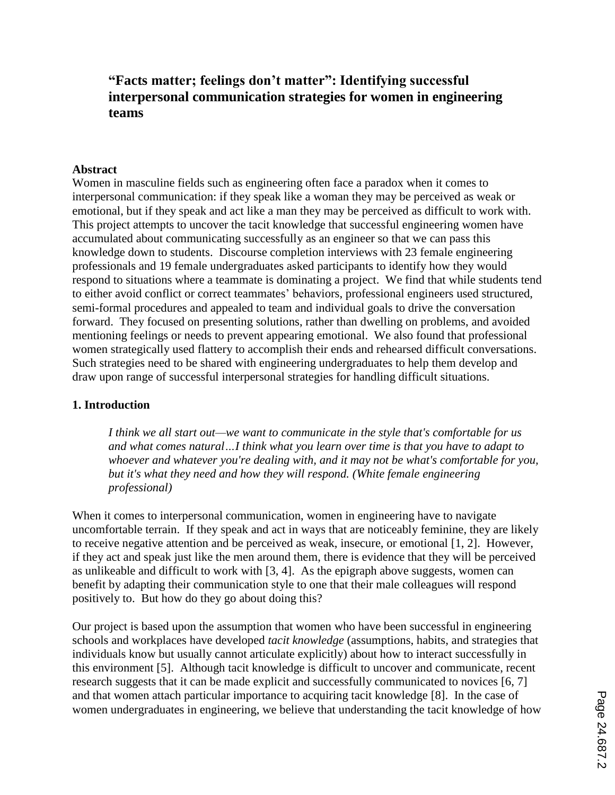# **"Facts matter; feelings don't matter": Identifying successful interpersonal communication strategies for women in engineering teams**

#### **Abstract**

Women in masculine fields such as engineering often face a paradox when it comes to interpersonal communication: if they speak like a woman they may be perceived as weak or emotional, but if they speak and act like a man they may be perceived as difficult to work with. This project attempts to uncover the tacit knowledge that successful engineering women have accumulated about communicating successfully as an engineer so that we can pass this knowledge down to students. Discourse completion interviews with 23 female engineering professionals and 19 female undergraduates asked participants to identify how they would respond to situations where a teammate is dominating a project. We find that while students tend to either avoid conflict or correct teammates' behaviors, professional engineers used structured, semi-formal procedures and appealed to team and individual goals to drive the conversation forward. They focused on presenting solutions, rather than dwelling on problems, and avoided mentioning feelings or needs to prevent appearing emotional. We also found that professional women strategically used flattery to accomplish their ends and rehearsed difficult conversations. Such strategies need to be shared with engineering undergraduates to help them develop and draw upon range of successful interpersonal strategies for handling difficult situations.

#### **1. Introduction**

*I think we all start out—we want to communicate in the style that's comfortable for us and what comes natural…I think what you learn over time is that you have to adapt to whoever and whatever you're dealing with, and it may not be what's comfortable for you, but it's what they need and how they will respond. (White female engineering professional)*

When it comes to interpersonal communication, women in engineering have to navigate uncomfortable terrain. If they speak and act in ways that are noticeably feminine, they are likely to receive negative attention and be perceived as weak, insecure, or emotional [1, 2]. However, if they act and speak just like the men around them, there is evidence that they will be perceived as unlikeable and difficult to work with [3, 4]. As the epigraph above suggests, women can benefit by adapting their communication style to one that their male colleagues will respond positively to. But how do they go about doing this?

Our project is based upon the assumption that women who have been successful in engineering schools and workplaces have developed *tacit knowledge* (assumptions, habits, and strategies that individuals know but usually cannot articulate explicitly) about how to interact successfully in this environment [5]. Although tacit knowledge is difficult to uncover and communicate, recent research suggests that it can be made explicit and successfully communicated to novices [6, 7] and that women attach particular importance to acquiring tacit knowledge [8]. In the case of women undergraduates in engineering, we believe that understanding the tacit knowledge of how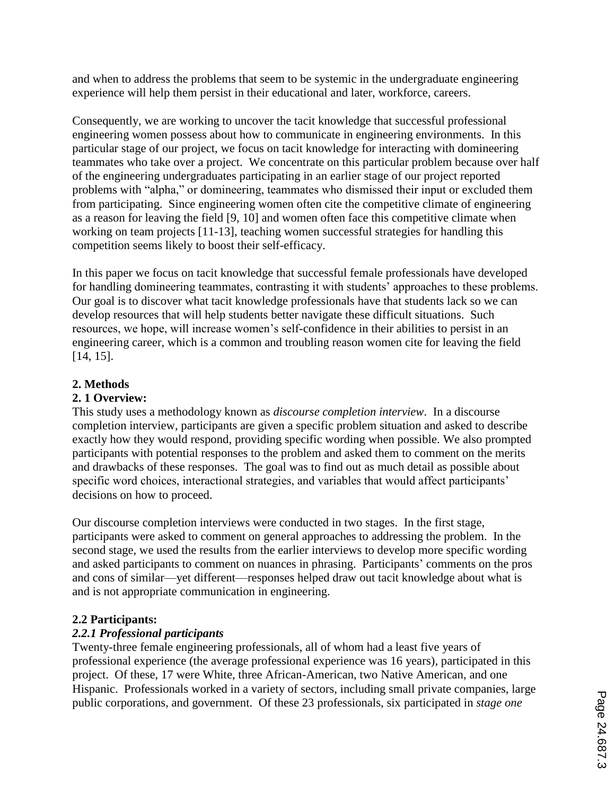and when to address the problems that seem to be systemic in the undergraduate engineering experience will help them persist in their educational and later, workforce, careers.

Consequently, we are working to uncover the tacit knowledge that successful professional engineering women possess about how to communicate in engineering environments. In this particular stage of our project, we focus on tacit knowledge for interacting with domineering teammates who take over a project. We concentrate on this particular problem because over half of the engineering undergraduates participating in an earlier stage of our project reported problems with "alpha," or domineering, teammates who dismissed their input or excluded them from participating. Since engineering women often cite the competitive climate of engineering as a reason for leaving the field [9, 10] and women often face this competitive climate when working on team projects [11-13], teaching women successful strategies for handling this competition seems likely to boost their self-efficacy.

In this paper we focus on tacit knowledge that successful female professionals have developed for handling domineering teammates, contrasting it with students' approaches to these problems. Our goal is to discover what tacit knowledge professionals have that students lack so we can develop resources that will help students better navigate these difficult situations. Such resources, we hope, will increase women's self-confidence in their abilities to persist in an engineering career, which is a common and troubling reason women cite for leaving the field [14, 15].

### **2. Methods**

### **2. 1 Overview:**

This study uses a methodology known as *discourse completion interview*. In a discourse completion interview, participants are given a specific problem situation and asked to describe exactly how they would respond, providing specific wording when possible. We also prompted participants with potential responses to the problem and asked them to comment on the merits and drawbacks of these responses. The goal was to find out as much detail as possible about specific word choices, interactional strategies, and variables that would affect participants' decisions on how to proceed.

Our discourse completion interviews were conducted in two stages. In the first stage, participants were asked to comment on general approaches to addressing the problem. In the second stage, we used the results from the earlier interviews to develop more specific wording and asked participants to comment on nuances in phrasing. Participants' comments on the pros and cons of similar—yet different—responses helped draw out tacit knowledge about what is and is not appropriate communication in engineering.

### **2.2 Participants:**

### *2.2.1 Professional participants*

Twenty-three female engineering professionals, all of whom had a least five years of professional experience (the average professional experience was 16 years), participated in this project. Of these, 17 were White, three African-American, two Native American, and one Hispanic. Professionals worked in a variety of sectors, including small private companies, large public corporations, and government. Of these 23 professionals, six participated in *stage one*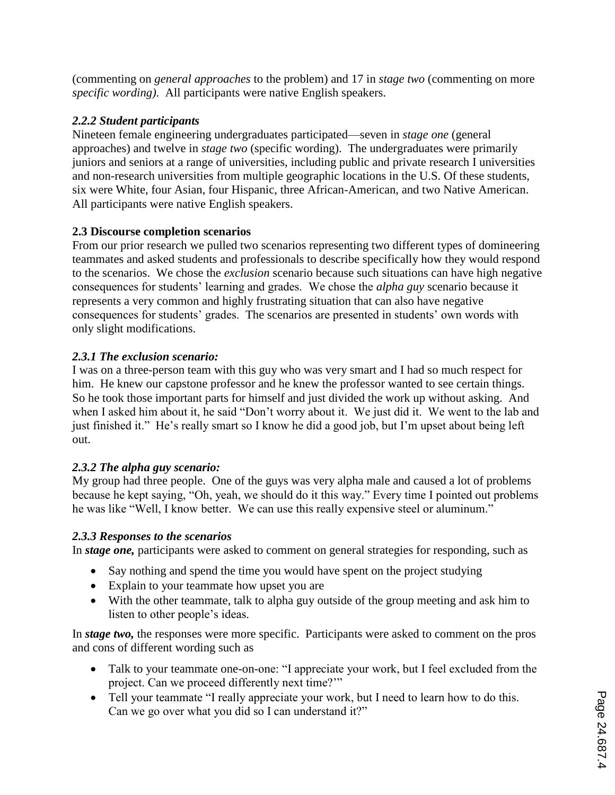(commenting on *general approaches* to the problem) and 17 in *stage two* (commenting on more *specific wording)*. All participants were native English speakers.

## *2.2.2 Student participants*

Nineteen female engineering undergraduates participated—seven in *stage one* (general approaches) and twelve in *stage two* (specific wording). The undergraduates were primarily juniors and seniors at a range of universities, including public and private research I universities and non-research universities from multiple geographic locations in the U.S. Of these students, six were White, four Asian, four Hispanic, three African-American, and two Native American. All participants were native English speakers.

## **2.3 Discourse completion scenarios**

From our prior research we pulled two scenarios representing two different types of domineering teammates and asked students and professionals to describe specifically how they would respond to the scenarios. We chose the *exclusion* scenario because such situations can have high negative consequences for students' learning and grades. We chose the *alpha guy* scenario because it represents a very common and highly frustrating situation that can also have negative consequences for students' grades. The scenarios are presented in students' own words with only slight modifications.

## *2.3.1 The exclusion scenario:*

I was on a three-person team with this guy who was very smart and I had so much respect for him. He knew our capstone professor and he knew the professor wanted to see certain things. So he took those important parts for himself and just divided the work up without asking. And when I asked him about it, he said "Don't worry about it. We just did it. We went to the lab and just finished it." He's really smart so I know he did a good job, but I'm upset about being left out.

# *2.3.2 The alpha guy scenario:*

My group had three people. One of the guys was very alpha male and caused a lot of problems because he kept saying, "Oh, yeah, we should do it this way." Every time I pointed out problems he was like "Well, I know better. We can use this really expensive steel or aluminum."

## *2.3.3 Responses to the scenarios*

In *stage one,* participants were asked to comment on general strategies for responding, such as

- Say nothing and spend the time you would have spent on the project studying
- Explain to your teammate how upset you are
- With the other teammate, talk to alpha guy outside of the group meeting and ask him to listen to other people's ideas.

In *stage two,* the responses were more specific. Participants were asked to comment on the pros and cons of different wording such as

- Talk to your teammate one-on-one: "I appreciate your work, but I feel excluded from the project. Can we proceed differently next time?'"
- Tell your teammate "I really appreciate your work, but I need to learn how to do this. Can we go over what you did so I can understand it?"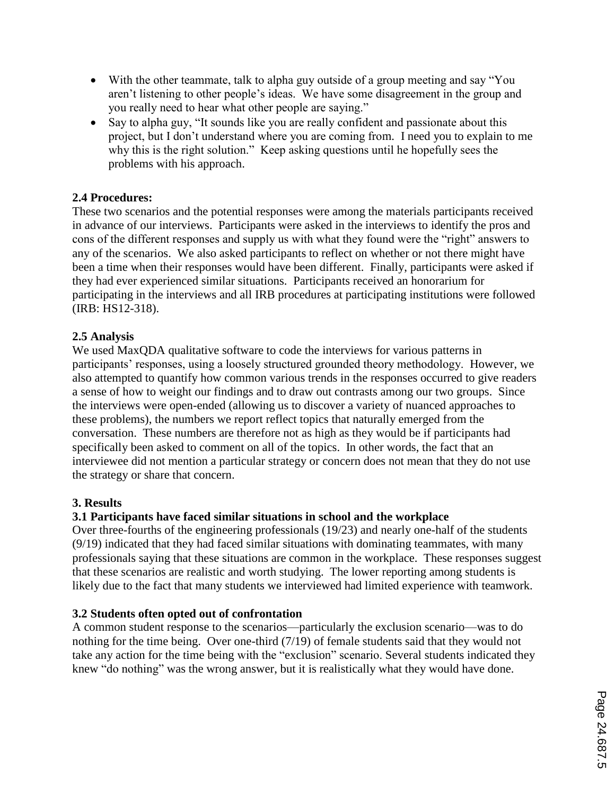- With the other teammate, talk to alpha guy outside of a group meeting and say "You aren't listening to other people's ideas. We have some disagreement in the group and you really need to hear what other people are saying."
- Say to alpha guy, "It sounds like you are really confident and passionate about this project, but I don't understand where you are coming from. I need you to explain to me why this is the right solution." Keep asking questions until he hopefully sees the problems with his approach.

### **2.4 Procedures:**

These two scenarios and the potential responses were among the materials participants received in advance of our interviews. Participants were asked in the interviews to identify the pros and cons of the different responses and supply us with what they found were the "right" answers to any of the scenarios. We also asked participants to reflect on whether or not there might have been a time when their responses would have been different. Finally, participants were asked if they had ever experienced similar situations. Participants received an honorarium for participating in the interviews and all IRB procedures at participating institutions were followed (IRB: HS12-318).

## **2.5 Analysis**

We used MaxQDA qualitative software to code the interviews for various patterns in participants' responses, using a loosely structured grounded theory methodology. However, we also attempted to quantify how common various trends in the responses occurred to give readers a sense of how to weight our findings and to draw out contrasts among our two groups. Since the interviews were open-ended (allowing us to discover a variety of nuanced approaches to these problems), the numbers we report reflect topics that naturally emerged from the conversation. These numbers are therefore not as high as they would be if participants had specifically been asked to comment on all of the topics. In other words, the fact that an interviewee did not mention a particular strategy or concern does not mean that they do not use the strategy or share that concern.

### **3. Results**

## **3.1 Participants have faced similar situations in school and the workplace**

Over three-fourths of the engineering professionals (19/23) and nearly one-half of the students (9/19) indicated that they had faced similar situations with dominating teammates, with many professionals saying that these situations are common in the workplace. These responses suggest that these scenarios are realistic and worth studying. The lower reporting among students is likely due to the fact that many students we interviewed had limited experience with teamwork.

### **3.2 Students often opted out of confrontation**

A common student response to the scenarios—particularly the exclusion scenario—was to do nothing for the time being. Over one-third (7/19) of female students said that they would not take any action for the time being with the "exclusion" scenario. Several students indicated they knew "do nothing" was the wrong answer, but it is realistically what they would have done.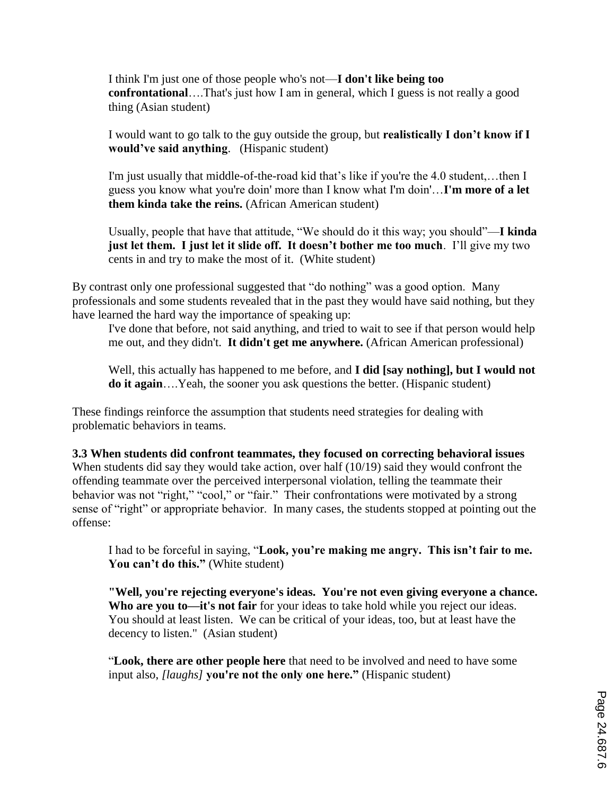I think I'm just one of those people who's not—**I don't like being too confrontational**….That's just how I am in general, which I guess is not really a good thing (Asian student)

I would want to go talk to the guy outside the group, but **realistically I don't know if I would've said anything**. (Hispanic student)

I'm just usually that middle-of-the-road kid that's like if you're the 4.0 student,…then I guess you know what you're doin' more than I know what I'm doin'…**I'm more of a let them kinda take the reins.** (African American student)

Usually, people that have that attitude, "We should do it this way; you should"—**I kinda just let them. I just let it slide off. It doesn't bother me too much**. I'll give my two cents in and try to make the most of it. (White student)

By contrast only one professional suggested that "do nothing" was a good option. Many professionals and some students revealed that in the past they would have said nothing, but they have learned the hard way the importance of speaking up:

I've done that before, not said anything, and tried to wait to see if that person would help me out, and they didn't. **It didn't get me anywhere.** (African American professional)

Well, this actually has happened to me before, and **I did [say nothing], but I would not do it again**....Yeah, the sooner you ask questions the better. (Hispanic student)

These findings reinforce the assumption that students need strategies for dealing with problematic behaviors in teams.

**3.3 When students did confront teammates, they focused on correcting behavioral issues** When students did say they would take action, over half (10/19) said they would confront the offending teammate over the perceived interpersonal violation, telling the teammate their behavior was not "right," "cool," or "fair." Their confrontations were motivated by a strong sense of "right" or appropriate behavior. In many cases, the students stopped at pointing out the offense:

I had to be forceful in saying, "**Look, you're making me angry. This isn't fair to me.**  You can't do this." (White student)

**"Well, you're rejecting everyone's ideas. You're not even giving everyone a chance. Who are you to—it's not fair** for your ideas to take hold while you reject our ideas. You should at least listen. We can be critical of your ideas, too, but at least have the decency to listen." (Asian student)

"**Look, there are other people here** that need to be involved and need to have some input also, *[laughs]* **you're not the only one here."** (Hispanic student)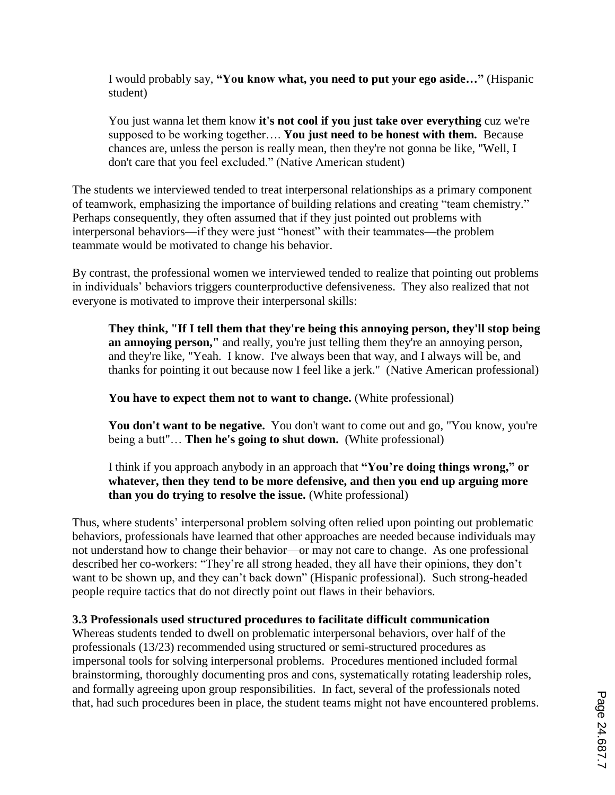I would probably say, **"You know what, you need to put your ego aside…"** (Hispanic student)

You just wanna let them know **it's not cool if you just take over everything** cuz we're supposed to be working together…. **You just need to be honest with them.** Because chances are, unless the person is really mean, then they're not gonna be like, "Well, I don't care that you feel excluded." (Native American student)

The students we interviewed tended to treat interpersonal relationships as a primary component of teamwork, emphasizing the importance of building relations and creating "team chemistry." Perhaps consequently, they often assumed that if they just pointed out problems with interpersonal behaviors—if they were just "honest" with their teammates—the problem teammate would be motivated to change his behavior.

By contrast, the professional women we interviewed tended to realize that pointing out problems in individuals' behaviors triggers counterproductive defensiveness. They also realized that not everyone is motivated to improve their interpersonal skills:

**They think, "If I tell them that they're being this annoying person, they'll stop being an annoying person,"** and really, you're just telling them they're an annoying person, and they're like, "Yeah. I know. I've always been that way, and I always will be, and thanks for pointing it out because now I feel like a jerk." (Native American professional)

**You have to expect them not to want to change.** (White professional)

**You don't want to be negative.** You don't want to come out and go, "You know, you're being a butt"… **Then he's going to shut down.** (White professional)

I think if you approach anybody in an approach that **"You're doing things wrong," or whatever, then they tend to be more defensive, and then you end up arguing more than you do trying to resolve the issue.** (White professional)

Thus, where students' interpersonal problem solving often relied upon pointing out problematic behaviors, professionals have learned that other approaches are needed because individuals may not understand how to change their behavior—or may not care to change. As one professional described her co-workers: "They're all strong headed, they all have their opinions, they don't want to be shown up, and they can't back down" (Hispanic professional). Such strong-headed people require tactics that do not directly point out flaws in their behaviors.

### **3.3 Professionals used structured procedures to facilitate difficult communication**

Whereas students tended to dwell on problematic interpersonal behaviors, over half of the professionals (13/23) recommended using structured or semi-structured procedures as impersonal tools for solving interpersonal problems. Procedures mentioned included formal brainstorming, thoroughly documenting pros and cons, systematically rotating leadership roles, and formally agreeing upon group responsibilities. In fact, several of the professionals noted that, had such procedures been in place, the student teams might not have encountered problems.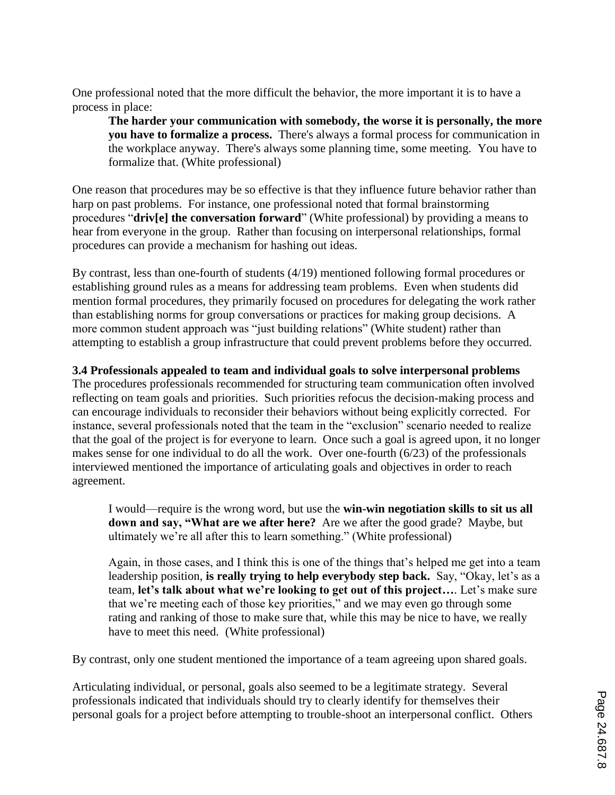One professional noted that the more difficult the behavior, the more important it is to have a process in place:

**The harder your communication with somebody, the worse it is personally, the more you have to formalize a process.** There's always a formal process for communication in the workplace anyway. There's always some planning time, some meeting. You have to formalize that. (White professional)

One reason that procedures may be so effective is that they influence future behavior rather than harp on past problems. For instance, one professional noted that formal brainstorming procedures "**driv[e] the conversation forward**" (White professional) by providing a means to hear from everyone in the group. Rather than focusing on interpersonal relationships, formal procedures can provide a mechanism for hashing out ideas.

By contrast, less than one-fourth of students (4/19) mentioned following formal procedures or establishing ground rules as a means for addressing team problems. Even when students did mention formal procedures, they primarily focused on procedures for delegating the work rather than establishing norms for group conversations or practices for making group decisions. A more common student approach was "just building relations" (White student) rather than attempting to establish a group infrastructure that could prevent problems before they occurred.

### **3.4 Professionals appealed to team and individual goals to solve interpersonal problems**

The procedures professionals recommended for structuring team communication often involved reflecting on team goals and priorities. Such priorities refocus the decision-making process and can encourage individuals to reconsider their behaviors without being explicitly corrected. For instance, several professionals noted that the team in the "exclusion" scenario needed to realize that the goal of the project is for everyone to learn. Once such a goal is agreed upon, it no longer makes sense for one individual to do all the work. Over one-fourth (6/23) of the professionals interviewed mentioned the importance of articulating goals and objectives in order to reach agreement.

I would—require is the wrong word, but use the **win-win negotiation skills to sit us all down and say, "What are we after here?** Are we after the good grade? Maybe, but ultimately we're all after this to learn something." (White professional)

Again, in those cases, and I think this is one of the things that's helped me get into a team leadership position, **is really trying to help everybody step back.** Say, "Okay, let's as a team, **let's talk about what we're looking to get out of this project…**. Let's make sure that we're meeting each of those key priorities," and we may even go through some rating and ranking of those to make sure that, while this may be nice to have, we really have to meet this need. (White professional)

By contrast, only one student mentioned the importance of a team agreeing upon shared goals.

Articulating individual, or personal, goals also seemed to be a legitimate strategy. Several professionals indicated that individuals should try to clearly identify for themselves their personal goals for a project before attempting to trouble-shoot an interpersonal conflict. Others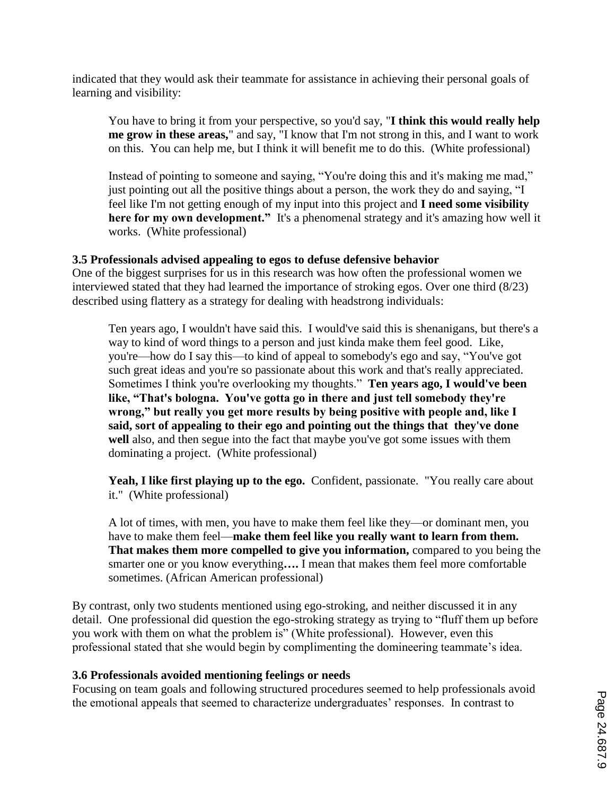indicated that they would ask their teammate for assistance in achieving their personal goals of learning and visibility:

You have to bring it from your perspective, so you'd say, "**I think this would really help me grow in these areas,**" and say, "I know that I'm not strong in this, and I want to work on this. You can help me, but I think it will benefit me to do this. (White professional)

Instead of pointing to someone and saying, "You're doing this and it's making me mad," just pointing out all the positive things about a person, the work they do and saying, "I feel like I'm not getting enough of my input into this project and **I need some visibility here for my own development."** It's a phenomenal strategy and it's amazing how well it works. (White professional)

#### **3.5 Professionals advised appealing to egos to defuse defensive behavior**

One of the biggest surprises for us in this research was how often the professional women we interviewed stated that they had learned the importance of stroking egos. Over one third (8/23) described using flattery as a strategy for dealing with headstrong individuals:

Ten years ago, I wouldn't have said this. I would've said this is shenanigans, but there's a way to kind of word things to a person and just kinda make them feel good. Like, you're—how do I say this—to kind of appeal to somebody's ego and say, "You've got such great ideas and you're so passionate about this work and that's really appreciated. Sometimes I think you're overlooking my thoughts." **Ten years ago, I would've been like, "That's bologna. You've gotta go in there and just tell somebody they're wrong," but really you get more results by being positive with people and, like I said, sort of appealing to their ego and pointing out the things that they've done well** also, and then segue into the fact that maybe you've got some issues with them dominating a project. (White professional)

Yeah, I like first playing up to the ego. Confident, passionate. "You really care about it." (White professional)

A lot of times, with men, you have to make them feel like they—or dominant men, you have to make them feel—**make them feel like you really want to learn from them. That makes them more compelled to give you information,** compared to you being the smarter one or you know everything**….** I mean that makes them feel more comfortable sometimes. (African American professional)

By contrast, only two students mentioned using ego-stroking, and neither discussed it in any detail. One professional did question the ego-stroking strategy as trying to "fluff them up before you work with them on what the problem is" (White professional). However, even this professional stated that she would begin by complimenting the domineering teammate's idea.

#### **3.6 Professionals avoided mentioning feelings or needs**

Focusing on team goals and following structured procedures seemed to help professionals avoid the emotional appeals that seemed to characterize undergraduates' responses. In contrast to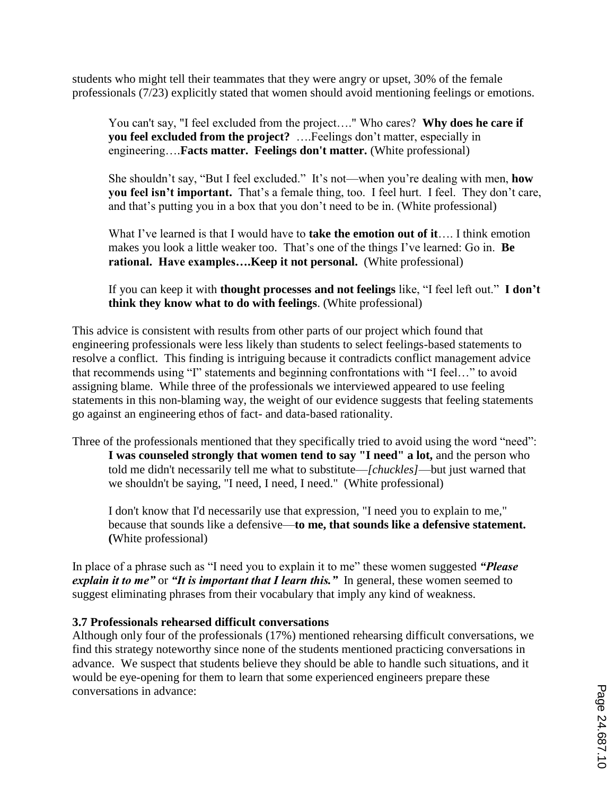students who might tell their teammates that they were angry or upset, 30% of the female professionals (7/23) explicitly stated that women should avoid mentioning feelings or emotions.

You can't say, "I feel excluded from the project…." Who cares? **Why does he care if you feel excluded from the project?** ….Feelings don't matter, especially in engineering….**Facts matter. Feelings don't matter.** (White professional)

She shouldn't say, "But I feel excluded." It's not—when you're dealing with men, **how you feel isn't important.** That's a female thing, too. I feel hurt. I feel. They don't care, and that's putting you in a box that you don't need to be in. (White professional)

What I've learned is that I would have to **take the emotion out of it**…. I think emotion makes you look a little weaker too. That's one of the things I've learned: Go in. **Be rational. Have examples….Keep it not personal.** (White professional)

If you can keep it with **thought processes and not feelings** like, "I feel left out." **I don't think they know what to do with feelings**. (White professional)

This advice is consistent with results from other parts of our project which found that engineering professionals were less likely than students to select feelings-based statements to resolve a conflict. This finding is intriguing because it contradicts conflict management advice that recommends using "I" statements and beginning confrontations with "I feel…" to avoid assigning blame. While three of the professionals we interviewed appeared to use feeling statements in this non-blaming way, the weight of our evidence suggests that feeling statements go against an engineering ethos of fact- and data-based rationality.

Three of the professionals mentioned that they specifically tried to avoid using the word "need": **I was counseled strongly that women tend to say "I need" a lot,** and the person who told me didn't necessarily tell me what to substitute—*[chuckles]*—but just warned that we shouldn't be saying, "I need, I need, I need." (White professional)

I don't know that I'd necessarily use that expression, "I need you to explain to me," because that sounds like a defensive—**to me, that sounds like a defensive statement. (**White professional)

In place of a phrase such as "I need you to explain it to me" these women suggested *"Please explain it to me"* or *"It is important that I learn this."* In general, these women seemed to suggest eliminating phrases from their vocabulary that imply any kind of weakness.

### **3.7 Professionals rehearsed difficult conversations**

Although only four of the professionals (17%) mentioned rehearsing difficult conversations, we find this strategy noteworthy since none of the students mentioned practicing conversations in advance. We suspect that students believe they should be able to handle such situations, and it would be eye-opening for them to learn that some experienced engineers prepare these conversations in advance: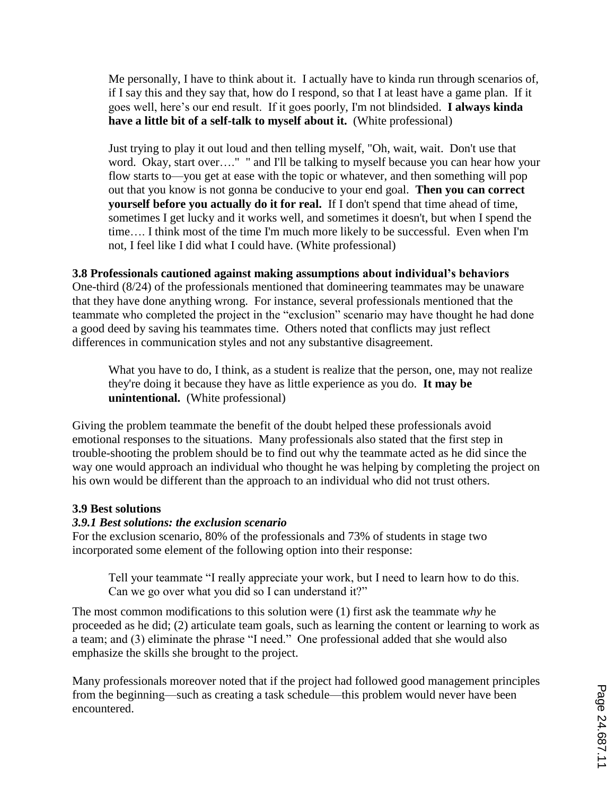Me personally, I have to think about it. I actually have to kinda run through scenarios of, if I say this and they say that, how do I respond, so that I at least have a game plan. If it goes well, here's our end result. If it goes poorly, I'm not blindsided. **I always kinda have a little bit of a self-talk to myself about it.** (White professional)

Just trying to play it out loud and then telling myself, "Oh, wait, wait. Don't use that word. Okay, start over…." " and I'll be talking to myself because you can hear how your flow starts to—you get at ease with the topic or whatever, and then something will pop out that you know is not gonna be conducive to your end goal. **Then you can correct yourself before you actually do it for real.** If I don't spend that time ahead of time, sometimes I get lucky and it works well, and sometimes it doesn't, but when I spend the time…. I think most of the time I'm much more likely to be successful. Even when I'm not, I feel like I did what I could have. (White professional)

#### **3.8 Professionals cautioned against making assumptions about individual's behaviors**

One-third (8/24) of the professionals mentioned that domineering teammates may be unaware that they have done anything wrong. For instance, several professionals mentioned that the teammate who completed the project in the "exclusion" scenario may have thought he had done a good deed by saving his teammates time. Others noted that conflicts may just reflect differences in communication styles and not any substantive disagreement.

What you have to do, I think, as a student is realize that the person, one, may not realize they're doing it because they have as little experience as you do. **It may be unintentional.** (White professional)

Giving the problem teammate the benefit of the doubt helped these professionals avoid emotional responses to the situations. Many professionals also stated that the first step in trouble-shooting the problem should be to find out why the teammate acted as he did since the way one would approach an individual who thought he was helping by completing the project on his own would be different than the approach to an individual who did not trust others.

#### **3.9 Best solutions**

#### *3.9.1 Best solutions: the exclusion scenario*

For the exclusion scenario, 80% of the professionals and 73% of students in stage two incorporated some element of the following option into their response:

Tell your teammate "I really appreciate your work, but I need to learn how to do this. Can we go over what you did so I can understand it?"

The most common modifications to this solution were (1) first ask the teammate *why* he proceeded as he did; (2) articulate team goals, such as learning the content or learning to work as a team; and (3) eliminate the phrase "I need." One professional added that she would also emphasize the skills she brought to the project.

Many professionals moreover noted that if the project had followed good management principles from the beginning—such as creating a task schedule—this problem would never have been encountered.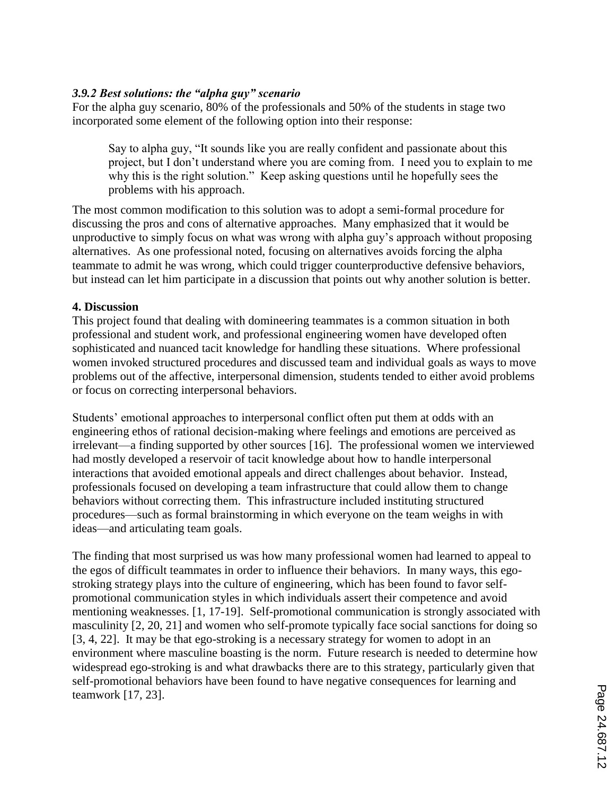#### *3.9.2 Best solutions: the "alpha guy" scenario*

For the alpha guy scenario, 80% of the professionals and 50% of the students in stage two incorporated some element of the following option into their response:

Say to alpha guy, "It sounds like you are really confident and passionate about this project, but I don't understand where you are coming from. I need you to explain to me why this is the right solution." Keep asking questions until he hopefully sees the problems with his approach.

The most common modification to this solution was to adopt a semi-formal procedure for discussing the pros and cons of alternative approaches. Many emphasized that it would be unproductive to simply focus on what was wrong with alpha guy's approach without proposing alternatives. As one professional noted, focusing on alternatives avoids forcing the alpha teammate to admit he was wrong, which could trigger counterproductive defensive behaviors, but instead can let him participate in a discussion that points out why another solution is better.

#### **4. Discussion**

This project found that dealing with domineering teammates is a common situation in both professional and student work, and professional engineering women have developed often sophisticated and nuanced tacit knowledge for handling these situations. Where professional women invoked structured procedures and discussed team and individual goals as ways to move problems out of the affective, interpersonal dimension, students tended to either avoid problems or focus on correcting interpersonal behaviors.

Students' emotional approaches to interpersonal conflict often put them at odds with an engineering ethos of rational decision-making where feelings and emotions are perceived as irrelevant—a finding supported by other sources [16]. The professional women we interviewed had mostly developed a reservoir of tacit knowledge about how to handle interpersonal interactions that avoided emotional appeals and direct challenges about behavior. Instead, professionals focused on developing a team infrastructure that could allow them to change behaviors without correcting them. This infrastructure included instituting structured procedures—such as formal brainstorming in which everyone on the team weighs in with ideas—and articulating team goals.

The finding that most surprised us was how many professional women had learned to appeal to the egos of difficult teammates in order to influence their behaviors. In many ways, this egostroking strategy plays into the culture of engineering, which has been found to favor selfpromotional communication styles in which individuals assert their competence and avoid mentioning weaknesses. [1, 17-19]. Self-promotional communication is strongly associated with masculinity [2, 20, 21] and women who self-promote typically face social sanctions for doing so [3, 4, 22]. It may be that ego-stroking is a necessary strategy for women to adopt in an environment where masculine boasting is the norm. Future research is needed to determine how widespread ego-stroking is and what drawbacks there are to this strategy, particularly given that self-promotional behaviors have been found to have negative consequences for learning and teamwork [17, 23].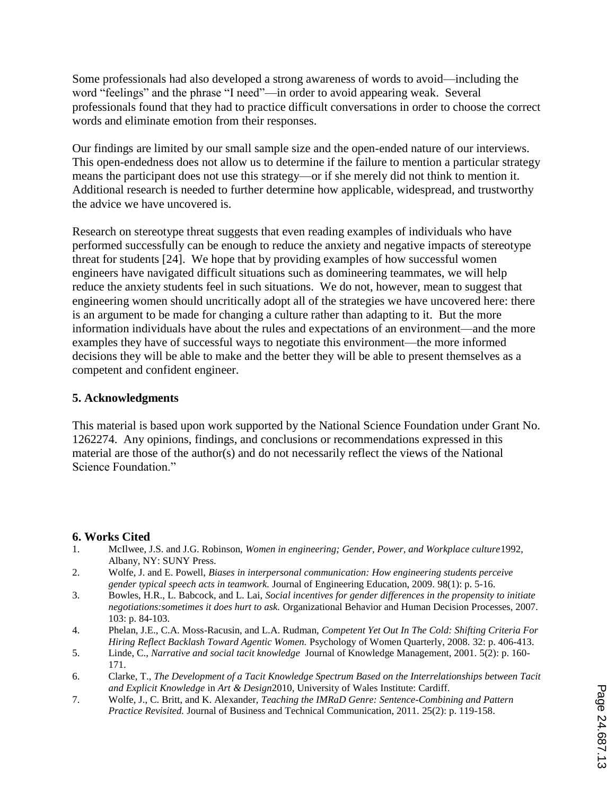Some professionals had also developed a strong awareness of words to avoid—including the word "feelings" and the phrase "I need"—in order to avoid appearing weak. Several professionals found that they had to practice difficult conversations in order to choose the correct words and eliminate emotion from their responses.

Our findings are limited by our small sample size and the open-ended nature of our interviews. This open-endedness does not allow us to determine if the failure to mention a particular strategy means the participant does not use this strategy—or if she merely did not think to mention it. Additional research is needed to further determine how applicable, widespread, and trustworthy the advice we have uncovered is.

Research on stereotype threat suggests that even reading examples of individuals who have performed successfully can be enough to reduce the anxiety and negative impacts of stereotype threat for students [24]. We hope that by providing examples of how successful women engineers have navigated difficult situations such as domineering teammates, we will help reduce the anxiety students feel in such situations. We do not, however, mean to suggest that engineering women should uncritically adopt all of the strategies we have uncovered here: there is an argument to be made for changing a culture rather than adapting to it. But the more information individuals have about the rules and expectations of an environment—and the more examples they have of successful ways to negotiate this environment—the more informed decisions they will be able to make and the better they will be able to present themselves as a competent and confident engineer.

#### **5. Acknowledgments**

This material is based upon work supported by the National Science Foundation under Grant No. 1262274. Any opinions, findings, and conclusions or recommendations expressed in this material are those of the author(s) and do not necessarily reflect the views of the National Science Foundation."

### **6. Works Cited**

- 1. McIlwee, J.S. and J.G. Robinson, *Women in engineering; Gender, Power, and Workplace culture*1992, Albany, NY: SUNY Press.
- 2. Wolfe, J. and E. Powell, *Biases in interpersonal communication: How engineering students perceive gender typical speech acts in teamwork.* Journal of Engineering Education, 2009. 98(1): p. 5-16.
- 3. Bowles, H.R., L. Babcock, and L. Lai, *Social incentives for gender differences in the propensity to initiate negotiations:sometimes it does hurt to ask.* Organizational Behavior and Human Decision Processes, 2007. 103: p. 84-103.
- 4. Phelan, J.E., C.A. Moss-Racusin, and L.A. Rudman, *Competent Yet Out In The Cold: Shifting Criteria For Hiring Reflect Backlash Toward Agentic Women.* Psychology of Women Quarterly, 2008. 32: p. 406-413.
- 5. Linde, C., *Narrative and social tacit knowledge* Journal of Knowledge Management, 2001. 5(2): p. 160- 171.
- 6. Clarke, T., *The Development of a Tacit Knowledge Spectrum Based on the Interrelationships between Tacit and Explicit Knowledge* in *Art & Design*2010, University of Wales Institute: Cardiff.
- 7. Wolfe, J., C. Britt, and K. Alexander, *Teaching the IMRaD Genre: Sentence-Combining and Pattern Practice Revisited.* Journal of Business and Technical Communication, 2011. 25(2): p. 119-158.